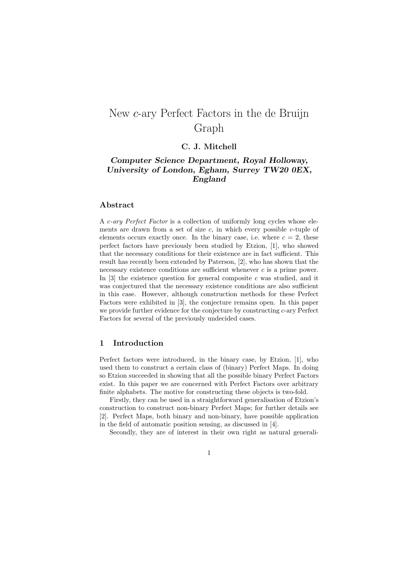# New *c*-ary Perfect Factors in the de Bruijn Graph

# **C. J. Mitchell**

# *Computer Science Department, Royal Holloway, University of London, Egham, Surrey TW20 0EX, England*

# **Abstract**

A *c-ary Perfect Factor* is a collection of uniformly long cycles whose elements are drawn from a set of size *c*, in which every possible *v*-tuple of elements occurs exactly once. In the binary case, i.e. where  $c = 2$ , these perfect factors have previously been studied by Etzion, [1], who showed that the necessary conditions for their existence are in fact sufficient. This result has recently been extended by Paterson, [2], who has shown that the necessary existence conditions are sufficient whenever *c* is a prime power. In  $[3]$  the existence question for general composite  $c$  was studied, and it was conjectured that the necessary existence conditions are also sufficient in this case. However, although construction methods for these Perfect Factors were exhibited in [3], the conjecture remains open. In this paper we provide further evidence for the conjecture by constructing *c*-ary Perfect Factors for several of the previously undecided cases.

# **1 Introduction**

Perfect factors were introduced, in the binary case, by Etzion, [1], who used them to construct a certain class of (binary) Perfect Maps. In doing so Etzion succeeded in showing that all the possible binary Perfect Factors exist. In this paper we are concerned with Perfect Factors over arbitrary finite alphabets. The motive for constructing these objects is two-fold.

Firstly, they can be used in a straightforward generalisation of Etzion's construction to construct non-binary Perfect Maps; for further details see [2]. Perfect Maps, both binary and non-binary, have possible application in the field of automatic position sensing, as discussed in [4].

Secondly, they are of interest in their own right as natural generali-

1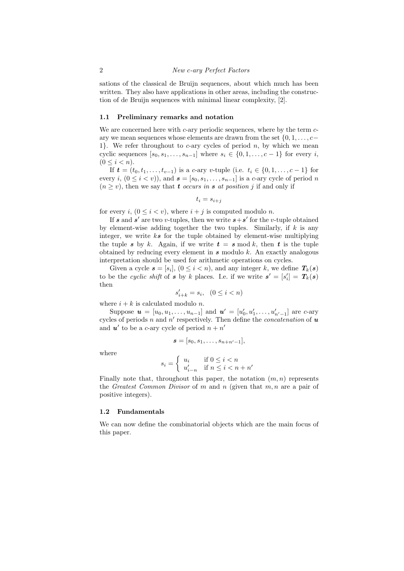sations of the classical de Bruijn sequences, about which much has been written. They also have applications in other areas, including the construction of de Bruijn sequences with minimal linear complexity, [2].

#### **1.1 Preliminary remarks and notation**

We are concerned here with *c*-ary periodic sequences, where by the term *c*ary we mean sequences whose elements are drawn from the set *{*0*,* 1*, . . . , c−* 1*}*. We refer throughout to *c*-ary cycles of period *n*, by which we mean cyclic sequences  $[s_0, s_1, \ldots, s_{n-1}]$  where  $s_i \in \{0, 1, \ldots, c-1\}$  for every *i*,  $(0 \le i \le n).$ 

If  **is a** *c***-ary** *v***-tuple (i.e.**  $t_i \in \{0, 1, \ldots, c-1\}$  **for** every *i*,  $(0 \leq i < v)$ ), and  $\boldsymbol{s} = [s_0, s_1, \ldots, s_{n-1}]$  is a *c*-ary cycle of period *n*  $(n \geq v)$ , then we say that *t occurs in s at position j* if and only if

$$
t_i = s_{i+j}
$$

for every *i*,  $(0 \le i < v)$ , where  $i + j$  is computed modulo *n*.

If *s* and *s*' are two *v*-tuples, then we write  $s + s'$  for the *v*-tuple obtained by element-wise adding together the two tuples. Similarly, if *k* is any integer, we write *ks* for the tuple obtained by element-wise multiplying the tuple *s* by *k*. Again, if we write  $t = s \mod k$ , then *t* is the tuple obtained by reducing every element in *s* modulo *k*. An exactly analogous interpretation should be used for arithmetic operations on cycles.

Given a cycle  $s = [s_i], (0 \leq i < n)$ , and any integer *k*, we define  $T_k(s)$ to be the *cyclic shift* of *s* by *k* places. I.e. if we write  $s' = [s'_i] = T_k(s)$ then

$$
s'_{i+k} = s_i, \quad (0 \le i < n)
$$

where  $i + k$  is calculated modulo *n*.

Suppose  $u = [u_0, u_1, \ldots, u_{n-1}]$  and  $u' = [u'_0, u'_1, \ldots, u'_{n'-1}]$  are *c*-ary cycles of periods *n* and *n ′* respectively. Then define the *concatenation* of *u* and  $u'$  to be a *c*-ary cycle of period  $n + n'$ 

$$
\boldsymbol{s}=[s_0,s_1,\ldots,s_{n+n'-1}],
$$

where

$$
s_i = \left\{ \begin{array}{ll} u_i & \text{if } 0 \leq i < n \\ u_{i-n}' & \text{if } n \leq i < n+n' \end{array} \right.
$$

Finally note that, throughout this paper, the notation  $(m, n)$  represents the *Greatest Common Divisor* of *m* and *n* (given that *m, n* are a pair of positive integers).

# **1.2 Fundamentals**

We can now define the combinatorial objects which are the main focus of this paper.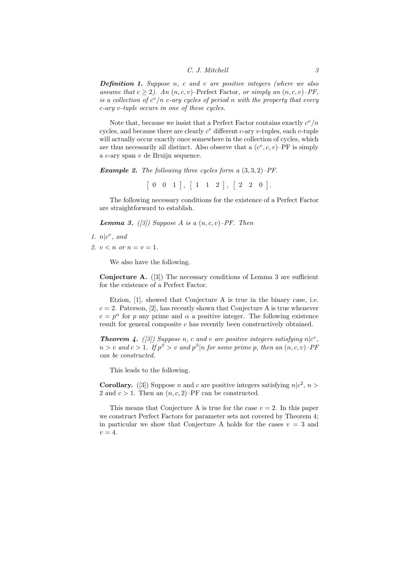*Definition 1. Suppose n, c and v are positive integers (where we also assume that*  $c \geq 2$ *).* An  $(n, c, v)$ –Perfect Factor, or simply an  $(n, c, v)$ –PF, *is a collection of*  $c^v/n$  *c*-ary cycles of period *n* with the property that every *c-ary v-tuple occurs in one of these cycles.*

Note that, because we insist that a Perfect Factor contains exactly  $c^v/n$ cycles, and because there are clearly *c <sup>v</sup>* different *c*-ary *v*-tuples, each *v*-tuple will actually occur exactly once somewhere in the collection of cycles, which are thus necessarily all distinct. Also observe that a  $(c^v, c, v)$ -PF is simply a *c*-ary span *v* de Bruijn sequence.

*Example 2. The following three cycles form a* (3*,* 3*,* 2)*–PF.*

 $\begin{bmatrix} 0 & 0 & 1 \end{bmatrix}$ ,  $\begin{bmatrix} 1 & 1 & 2 \end{bmatrix}$ ,  $\begin{bmatrix} 2 & 2 & 0 \end{bmatrix}$ .

The following necessary conditions for the existence of a Perfect Factor are straightforward to establish.

*Lemma 3. ([3])* Suppose *A is a*  $(n, c, v)$ –*PF. Then* 

- 1.  $n|c^v$ , and
- 2.  $v < n$  or  $n = v = 1$ .

We also have the following.

**Conjecture A.** ([3]) The necessary conditions of Lemma 3 are sufficient for the existence of a Perfect Factor.

Etzion, [1], showed that Conjecture A is true in the binary case, i.e.  $c = 2$ . Paterson, [2], has recently shown that Conjecture A is true whenever  $c = p^{\alpha}$  for *p* any prime and  $\alpha$  a positive integer. The following existence result for general composite *c* has recently been constructively obtained.

*Theorem 4.* ([3]) Suppose *n*, *c* and *v* are positive integers satisfying  $n|c^v$ ,  $n > v$  and  $c > 1$ *. If*  $p^{\beta} > v$  and  $p^{\beta} | n$  for some prime p, then an  $(n, c, v)$ -PF *can be constructed.*

This leads to the following.

**Corollary.** ([3]) Suppose *n* and *c* are positive integers satisfying  $n|c^2, n>$ 2 and  $c > 1$ . Then an  $(n, c, 2)$ –PF can be constructed.

This means that Conjecture A is true for the case  $v = 2$ . In this paper we construct Perfect Factors for parameter sets not covered by Theorem 4; in particular we show that Conjecture A holds for the cases  $v = 3$  and  $v = 4$ .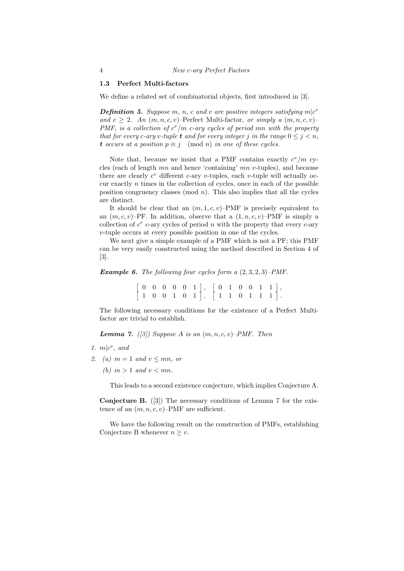#### **1.3 Perfect Multi-factors**

We define a related set of combinatorial objects, first introduced in [3].

*Definition 5. Suppose m, n, c and v are positive integers satisfying*  $m | c^v$ *and*  $c \geq 2$ *. An*  $(m, n, c, v)$ –Perfect Multi-factor, or simply a  $(m, n, c, v)$ – *PMF, is a collection of*  $c^v/m$  *c-ary cycles of period mn with the property that for every c*-*ary v*-*tuple t and for every integer <i>j* in the range  $0 \leq j \leq n$ , *t occurs at a position*  $p \equiv j \pmod{n}$  *in one of these cycles.* 

Note that, because we insist that a PMF contains exactly  $c^v/m$  cycles (each of length *mn* and hence 'containing' *mn v*-tuples), and because there are clearly  $c^v$  different  $c$ -ary  $v$ -tuples, each  $v$ -tuple will actually occur exactly *n* times in the collection of cycles, once in each of the possible position congruency classes (mod *n*). This also implies that all the cycles are distinct.

It should be clear that an  $(m, 1, c, v)$ –PMF is precisely equivalent to an  $(m, c, v)$ –PF. In addition, observe that a  $(1, n, c, v)$ –PMF is simply a collection of  $c^v$  c-ary cycles of period  $n$  with the property that every  $c$ -ary *v*-tuple occurs at every possible position in one of the cycles.

We next give a simple example of a PMF which is not a PF; this PMF can be very easily constructed using the method described in Section 4 of [3].

#### *Example 6. The following four cycles form a* (2*,* 3*,* 2*,* 3)*–PMF.*

 $[0 \ 0 \ 0 \ 0 \ 0 \ 1], [0 \ 1 \ 0 \ 0 \ 1 \ 1],$  $\begin{bmatrix} 1 & 0 & 0 & 1 & 0 & 1 \end{bmatrix}$ ,  $\begin{bmatrix} 1 & 1 & 0 & 1 & 1 & 1 \end{bmatrix}$ .

The following necessary conditions for the existence of a Perfect Multifactor are trivial to establish.

*Lemma 7.* ([3]) Suppose A is an  $(m, n, c, v)$ –PMF. Then

- 1.  $m|c^v$ , and
- *2. (a)*  $m = 1$  *and*  $v \leq mn$ *, or* 
	- (b)  $m > 1$  *and*  $v < mn$ .

This leads to a second existence conjecture, which implies Conjecture A.

**Conjecture B.** ([3]) The necessary conditions of Lemma 7 for the existence of an  $(m, n, c, v)$ –PMF are sufficient.

We have the following result on the construction of PMFs, establishing Conjecture B whenever  $n \geq v$ .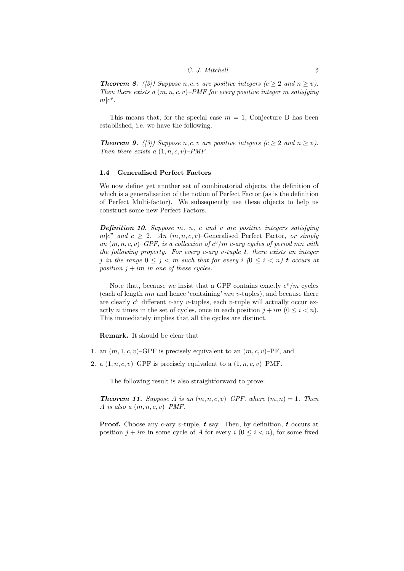*Theorem 8.* ([3]) Suppose  $n, c, v$  are positive integers ( $c \geq 2$  and  $n \geq v$ ). *Then there exists a* (*m, n, c, v*)*–PMF for every positive integer m satisfying*  $m|c^v$ .

This means that, for the special case  $m = 1$ , Conjecture B has been established, i.e. we have the following.

*Theorem 9.* ([3]) Suppose  $n, c, v$  are positive integers ( $c \geq 2$  and  $n \geq v$ ). *Then there exists a* (1*, n, c, v*)*–PMF.*

#### **1.4 Generalised Perfect Factors**

We now define yet another set of combinatorial objects, the definition of which is a generalisation of the notion of Perfect Factor (as is the definition of Perfect Multi-factor). We subsequently use these objects to help us construct some new Perfect Factors.

*Definition 10. Suppose m, n, c and v are positive integers satisfying*  $m|c^v$  *and*  $c \geq 2$ *. An*  $(m, n, c, v)$ –Generalised Perfect Factor, or simply *an*  $(m, n, c, v)$ –*GPF, is a collection of*  $c^v/m$  *c-ary cycles of period mn with the following property. For every c-ary v-tuple t, there exists an integer j* in the range  $0 \leq j \leq m$  such that for every *i*  $(0 \leq i \leq n)$  **t** occurs at *position*  $j + im$  *in one of these cycles.* 

Note that, because we insist that a GPF contains exactly  $c^v/m$  cycles (each of length *mn* and hence 'containing' *mn v*-tuples), and because there are clearly  $c^v$  different  $c$ -ary  $v$ -tuples, each  $v$ -tuple will actually occur exactly *n* times in the set of cycles, once in each position  $j + im$   $(0 \le i \le n)$ . This immediately implies that all the cycles are distinct.

**Remark.** It should be clear that

- 1. an  $(m, 1, c, v)$ –GPF is precisely equivalent to an  $(m, c, v)$ –PF, and
- 2. a  $(1, n, c, v)$ –GPF is precisely equivalent to a  $(1, n, c, v)$ –PMF.

The following result is also straightforward to prove:

*Theorem 11. Suppose A is an*  $(m, n, c, v)$ *–GPF, where*  $(m, n) = 1$ *. Then A is also a* (*m, n, c, v*)*–PMF.*

**Proof.** Choose any *c*-ary *v*-tuple, *t* say. Then, by definition, *t* occurs at position  $j + im$  in some cycle of *A* for every  $i$  ( $0 \le i \le n$ ), for some fixed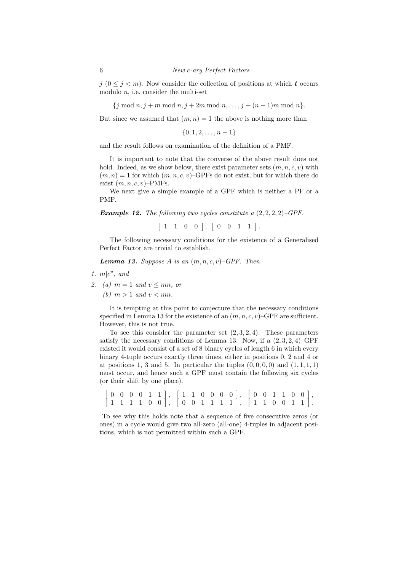*j*  $(0 \leq j < m)$ . Now consider the collection of positions at which *t* occurs modulo *n*, i.e. consider the multi-set

*{j* mod *n, j* + *m* mod *n, j* + 2*m* mod *n, . . . , j* + (*n −* 1)*m* mod *n}.*

But since we assumed that  $(m, n) = 1$  the above is nothing more than

*{*0*,* 1*,* 2*, . . . , n −* 1*}*

and the result follows on examination of the definition of a PMF.

It is important to note that the converse of the above result does not hold. Indeed, as we show below, there exist parameter sets (*m, n, c, v*) with  $(m, n) = 1$  for which  $(m, n, c, v)$ –GPFs do not exist, but for which there do exist  $(m, n, c, v)$ –PMFs.

We next give a simple example of a GPF which is neither a PF or a PMF.

*Example 12. The following two cycles constitute a* (2*,* 2*,* 2*,* 2)*–GPF.*

 $[1 \ 1 \ 0 \ 0], [0 \ 0 \ 1 \ 1].$ 

The following necessary conditions for the existence of a Generalised Perfect Factor are trivial to establish.

*Lemma 13. Suppose A is an* (*m, n, c, v*)*–GPF. Then*

1.  $m|c^v$ , and

2. (a)  $m = 1$  and  $v \leq mn$ , or

(b)  $m > 1$  *and*  $v < mn$ .

It is tempting at this point to conjecture that the necessary conditions specified in Lemma 13 for the existence of an  $(m, n, c, v)$ –GPF are sufficient. However, this is not true.

To see this consider the parameter set (2*,* 3*,* 2*,* 4). These parameters satisfy the necessary conditions of Lemma 13. Now, if a (2*,* 3*,* 2*,* 4)–GPF existed it would consist of a set of 8 binary cycles of length 6 in which every binary 4-tuple occurs exactly three times, either in positions 0, 2 and 4 or at positions 1, 3 and 5. In particular the tuples  $(0,0,0,0)$  and  $(1,1,1,1)$ must occur, and hence such a GPF must contain the following six cycles (or their shift by one place).

 $[0 \ 0 \ 0 \ 0 \ 1 \ 1], [1 \ 1 \ 0 \ 0 \ 0 \ 0], [0 \ 0 \ 1 \ 1 \ 0 \ 0],$  $\begin{bmatrix} 1 & 1 & 1 & 1 & 0 & 0 \end{bmatrix}$ ,  $\begin{bmatrix} 0 & 0 & 1 & 1 & 1 & 1 \end{bmatrix}$ ,  $\begin{bmatrix} 1 & 1 & 0 & 0 & 1 & 1 \end{bmatrix}$ .

To see why this holds note that a sequence of five consecutive zeros (or ones) in a cycle would give two all-zero (all-one) 4-tuples in adjacent positions, which is not permitted within such a GPF.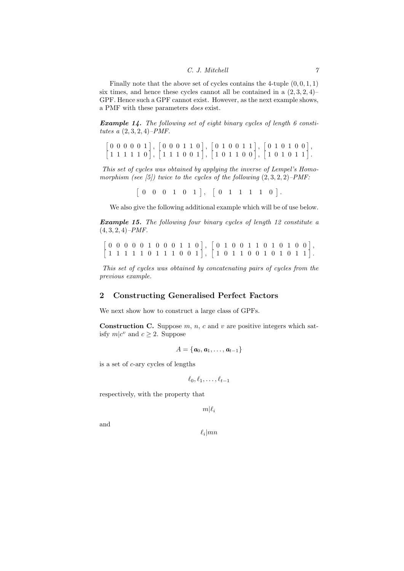Finally note that the above set of cycles contains the 4-tuple  $(0, 0, 1, 1)$ six times, and hence these cycles cannot all be contained in a  $(2, 3, 2, 4)$ – GPF. Hence such a GPF cannot exist. However, as the next example shows, a PMF with these parameters *does* exist.

*Example 14. The following set of eight binary cycles of length 6 constitutes a* (2*,* 3*,* 2*,* 4)*–PMF.*

 $[0\ 0\ 0\ 0\ 0\ 1], [0\ 0\ 0\ 1\ 1\ 0], [0\ 1\ 0\ 0\ 1\ 1], [0\ 1\ 0\ 1\ 0\ 0],$  $\begin{bmatrix} 1 & 1 & 1 & 1 & 0 \end{bmatrix}$ ,  $\begin{bmatrix} 1 & 1 & 1 & 0 & 0 & 1 \end{bmatrix}$ ,  $\begin{bmatrix} 1 & 0 & 1 & 1 & 0 & 0 \end{bmatrix}$ ,  $\begin{bmatrix} 1 & 0 & 1 & 0 & 1 & 1 \end{bmatrix}$ .

*This set of cycles was obtained by applying the inverse of Lempel's Homomorphism (see [5]) twice to the cycles of the following* (2*,* 3*,* 2*,* 2)*–PMF:*

 $[0 \ 0 \ 0 \ 1 \ 0 \ 1], [0 \ 1 \ 1 \ 1 \ 1 \ 0].$ 

We also give the following additional example which will be of use below.

*Example 15. The following four binary cycles of length 12 constitute a* (4*,* 3*,* 2*,* 4)*–PMF.*

 $[0\ 0\ 0\ 0\ 0\ 1\ 0\ 0\ 0\ 1\ 1\ 0], [0\ 1\ 0\ 0\ 1\ 1\ 0\ 1\ 0\ 1\ 0\ 0],$  $[1 1 1 1 1 0 1 1 1 0 0 1], [1 0 1 1 0 0 1 0 1 0 1 1].$ 

*This set of cycles was obtained by concatenating pairs of cycles from the previous example.*

# **2 Constructing Generalised Perfect Factors**

We next show how to construct a large class of GPFs.

**Construction C.** Suppose *m*, *n*, *c* and *v* are positive integers which satisfy  $m|c^v$  and  $c \geq 2$ . Suppose

$$
A=\{\boldsymbol{a}_0,\boldsymbol{a}_1,\ldots,\boldsymbol{a}_{t-1}\}
$$

is a set of *c*-ary cycles of lengths

$$
\ell_0, \ell_1, \ldots, \ell_{t-1}
$$

respectively, with the property that

 $m|\ell_i$ 

and

 $\ell_i$ |*mn*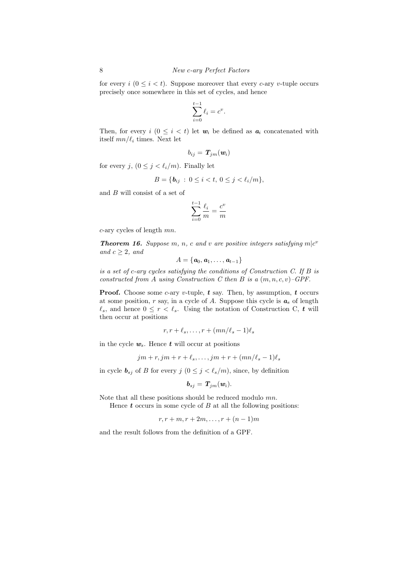for every  $i \ (0 \leq i \lt t)$ . Suppose moreover that every *c*-ary *v*-tuple occurs precisely once somewhere in this set of cycles, and hence

$$
\sum_{i=0}^{t-1} \ell_i = c^v.
$$

Then, for every  $i \ (0 \leq i \leq t)$  let  $w_i$  be defined as  $a_i$  concatenated with itself *mn/ℓ<sup>i</sup>* times. Next let

$$
b_{ij} = \bm{T}_{jm}(\bm{w}_i)
$$

for every *j*,  $(0 \leq j < \ell_i/m)$ . Finally let

$$
B = \{ b_{ij} : 0 \le i < t, \ 0 \le j < \ell_i / m \},
$$

and *B* will consist of a set of

$$
\sum_{i=0}^{t-1} \frac{\ell_i}{m} = \frac{c^v}{m}
$$

*c*-ary cycles of length *mn*.

*Theorem 16. Suppose m, n, c and v are positive integers satisfying*  $m|c^v$ *and*  $c \geq 2$ *, and* 

$$
A=\{a_0,a_1,\ldots,a_{t-1}\}
$$

*is a set of c-ary cycles satisfying the conditions of Construction C. If B is constructed from A using Construction C then B is a* (*m, n, c, v*)*–GPF.*

**Proof.** Choose some *c*-ary *v*-tuple,  $t$  say. Then, by assumption,  $t$  occurs at some position, *r* say, in a cycle of *A*. Suppose this cycle is *a<sup>s</sup>* of length  $\ell_s$ , and hence  $0 \leq r < \ell_s$ . Using the notation of Construction C, *t* will then occur at positions

$$
r, r + \ell_s, \ldots, r + (mn/\ell_s - 1)\ell_s
$$

in the cycle  $w_s$ . Hence  $t$  will occur at positions

$$
jm + r, jm + r + \ell_s, \dots, jm + r + (mn/\ell_s - 1)\ell_s
$$

in cycle  $\mathbf{b}_{sj}$  of *B* for every  $j$  ( $0 \leq j < \ell_s/m$ ), since, by definition

$$
\boldsymbol{b}_{sj} = \boldsymbol{T}_{jm}(\boldsymbol{w}_i).
$$

Note that all these positions should be reduced modulo *mn*.

Hence *t* occurs in some cycle of *B* at all the following positions:

$$
r, r+m, r+2m, \ldots, r+(n-1)m
$$

and the result follows from the definition of a GPF.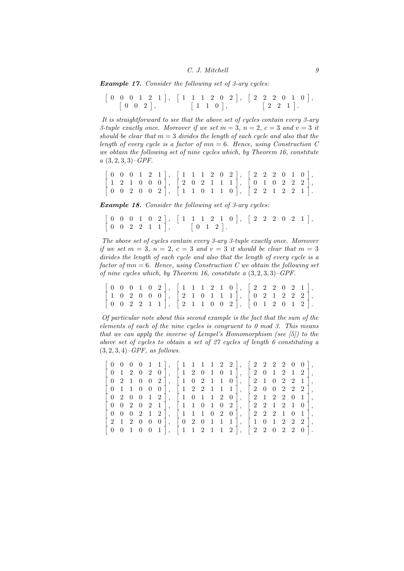*Example 17. Consider the following set of 3-ary cycles:*

|  |  | $\begin{bmatrix} 0 & 0 & 2 \end{bmatrix}$ , |  |  |  | $\begin{bmatrix} 1 & 1 & 0 \end{bmatrix},$ |  |  |  |  | $\left[\begin{array}{ccc}2&2&1\end{array}\right].$ |  |
|--|--|---------------------------------------------|--|--|--|--------------------------------------------|--|--|--|--|----------------------------------------------------|--|

*It is straightforward to see that the above set of cycles contain every 3-ary 3-tuple exactly once. Moreover if we set*  $m = 3$ ,  $n = 2$ ,  $c = 3$  and  $v = 3$  it *should be clear that m* = 3 *divides the length of each cycle and also that the length of every cycle is a factor of mn* = 6*. Hence, using Construction C we obtain the following set of nine cycles which, by Theorem 16, constitute a* (3*,* 2*,* 3*,* 3)*–GPF.*

|  |  |  | $[0\ 0\ 0\ 1\ 2\ 1], [1\ 1\ 1\ 2\ 0\ 2], [2\ 2\ 2\ 0\ 1\ 0],$                                                                                                           |  |  |  |  |  |  |  |
|--|--|--|-------------------------------------------------------------------------------------------------------------------------------------------------------------------------|--|--|--|--|--|--|--|
|  |  |  | $\begin{bmatrix} 1 & 2 & 1 & 0 & 0 & 0 \end{bmatrix}$ , $\begin{bmatrix} 2 & 0 & 2 & 1 & 1 & 1 \end{bmatrix}$ , $\begin{bmatrix} 0 & 1 & 0 & 2 & 2 & 2 \end{bmatrix}$ , |  |  |  |  |  |  |  |
|  |  |  | $\begin{bmatrix} 0 & 0 & 2 & 0 & 0 & 2 \end{bmatrix}$ , $\begin{bmatrix} 1 & 1 & 0 & 1 & 1 & 0 \end{bmatrix}$ , $\begin{bmatrix} 2 & 2 & 1 & 2 & 2 & 1 \end{bmatrix}$ . |  |  |  |  |  |  |  |

*Example 18. Consider the following set of 3-ary cycles:*

 $\mathbb{Z}$ 

 $[0 \ 0 \ 0 \ 1 \ 0 \ 2], [1 \ 1 \ 1 \ 2 \ 1 \ 0], [2 \ 2 \ 2 \ 0 \ 2 \ 1],$  $\begin{bmatrix} 0 & 0 & 2 & 2 & 1 & 1 \end{bmatrix}$ ,  $\begin{bmatrix} 0 & 1 & 2 \end{bmatrix}$ .

*The above set of cycles contain every 3-ary 3-tuple exactly once. Moreover if we set*  $m = 3$ ,  $n = 2$ ,  $c = 3$  *and*  $v = 3$  *it should be clear that*  $m = 3$ *divides the length of each cycle and also that the length of every cycle is a factor of mn* = 6*. Hence, using Construction C we obtain the following set of nine cycles which, by Theorem 16, constitute a* (3*,* 2*,* 3*,* 3)*–GPF.*

|  |  |  |  |  |  |  | $[0\ 0\ 0\ 1\ 0\ 2], [1\ 1\ 1\ 2\ 1\ 0], [2\ 2\ 2\ 0\ 2\ 1],$                      |  |  |  |  |
|--|--|--|--|--|--|--|------------------------------------------------------------------------------------|--|--|--|--|
|  |  |  |  |  |  |  | $[1\; 0\; 2\; 0\; 0\; 0], \; [2\; 1\; 0\; 1\; 1\; 1], \; [0\; 2\; 1\; 2\; 2\; 2],$ |  |  |  |  |
|  |  |  |  |  |  |  | $[0 \t0 \t2 \t2 \t1 \t1], [2 \t1 \t1 \t0 \t0 \t2], [0 \t1 \t2 \t0 \t1 \t2].$       |  |  |  |  |

*Of particular note about this second example is the fact that the sum of the elements of each of the nine cycles is congruent to 0 mod 3. This means that we can apply the inverse of Lempel's Homomorphism (see [5]) to the above set of cycles to obtain a set of 27 cycles of length 6 constituting a* (3*,* 2*,* 3*,* 4)*–GPF, as follows.*

|                                                |     |  |  |  |  |  | $[0\ 0\ 0\ 0\ 1\ 1], [1\ 1\ 1\ 1\ 2\ 2], [2\ 2\ 2\ 2\ 0\ 0],$                                                                                                           |  |  |  |  |
|------------------------------------------------|-----|--|--|--|--|--|-------------------------------------------------------------------------------------------------------------------------------------------------------------------------|--|--|--|--|
|                                                |     |  |  |  |  |  | $[0 1 2 0 2 0], [1 2 0 1 0 1], [2 0 1 2 1 2],$                                                                                                                          |  |  |  |  |
|                                                |     |  |  |  |  |  | $[0 2 1 0 0 2], [1 0 2 1 1 0], [2 1 0 2 2 1],$                                                                                                                          |  |  |  |  |
|                                                |     |  |  |  |  |  | $[0 1 1 0 0 0], [1 2 2 1 1 1], [2 0 0 2 2 2],$                                                                                                                          |  |  |  |  |
|                                                |     |  |  |  |  |  | $[0 2 0 0 1 2], [1 0 1 1 2 0], [2 1 2 2 0 1],$                                                                                                                          |  |  |  |  |
|                                                |     |  |  |  |  |  | $\begin{bmatrix} 0 & 0 & 2 & 0 & 2 & 1 \end{bmatrix}$ , $\begin{bmatrix} 1 & 1 & 0 & 1 & 0 & 2 \end{bmatrix}$ , $\begin{bmatrix} 2 & 2 & 1 & 2 & 1 & 0 \end{bmatrix}$ , |  |  |  |  |
|                                                |     |  |  |  |  |  | $\begin{pmatrix} 0 & 0 & 0 & 2 & 1 & 2 \end{pmatrix}$ , $\begin{pmatrix} 1 & 1 & 1 & 0 & 2 & 0 \end{pmatrix}$ , $\begin{pmatrix} 2 & 2 & 2 & 1 & 0 & 1 \end{pmatrix}$ , |  |  |  |  |
|                                                |     |  |  |  |  |  | $\begin{bmatrix} 2 & 1 & 2 & 0 & 0 & 0 \end{bmatrix}$ , $\begin{bmatrix} 0 & 2 & 0 & 1 & 1 & 1 \end{bmatrix}$ , $\begin{bmatrix} 1 & 0 & 1 & 2 & 2 & 2 \end{bmatrix}$ , |  |  |  |  |
| $\begin{pmatrix} 0 & 0 \\ 0 & 0 \end{pmatrix}$ | 1 0 |  |  |  |  |  | $0 \t1 \t1 \t1 \t1 \t2 \t1 \t1 \t2 \t1 \t1 \t2 \t0 \t2 \t0 \t1.$                                                                                                        |  |  |  |  |
|                                                |     |  |  |  |  |  |                                                                                                                                                                         |  |  |  |  |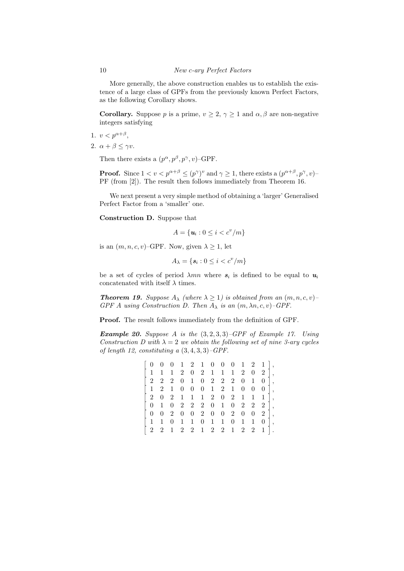More generally, the above construction enables us to establish the existence of a large class of GPFs from the previously known Perfect Factors, as the following Corollary shows.

**Corollary.** Suppose *p* is a prime,  $v \geq 2$ ,  $\gamma \geq 1$  and  $\alpha, \beta$  are non-negative integers satisfying

- 1.  $v < p^{\alpha+\beta}$ ,
- 2.  $\alpha + \beta \leq \gamma v$ .

Then there exists a  $(p^{\alpha}, p^{\beta}, p^{\gamma}, v)$ –GPF.

**Proof.** Since  $1 < v < p^{\alpha+\beta} \le (p^{\gamma})^v$  and  $\gamma \ge 1$ , there exists a  $(p^{\alpha+\beta}, p^{\gamma}, v)$ PF (from [2]). The result then follows immediately from Theorem 16.

We next present a very simple method of obtaining a 'larger' Generalised Perfect Factor from a 'smaller' one.

**Construction D.** Suppose that

$$
A = \{ \boldsymbol{u}_i : 0 \leq i < c^v / m \}
$$

is an  $(m, n, c, v)$ –GPF. Now, given  $\lambda \geq 1$ , let

$$
A_{\lambda} = \{ \mathbf{s}_i : 0 \le i < c^v / m \}
$$

be a set of cycles of period  $\lambda mn$  where  $s_i$  is defined to be equal to  $u_i$ concatenated with itself  $\lambda$  times.

*Theorem 19. Suppose*  $A_{\lambda}$  *(where*  $\lambda \geq 1$ *) is obtained from an*  $(m, n, c, v)$ *GPF A using Construction D. Then*  $A_{\lambda}$  *is an*  $(m, \lambda n, c, v)$ *–GPF.* 

**Proof.** The result follows immediately from the definition of GPF.

*Example 20. Suppose A is the* (3*,* 2*,* 3*,* 3)*–GPF of Example 17. Using Construction D with*  $\lambda = 2$  *we obtain the following set of nine 3-ary cycles of length 12, constituting a* (3*,* 4*,* 3*,* 3)*–GPF.*

| $[0 \t 0 \t 0 \t 1 \t 2 \t 1 \t 0 \t 0 \t 0 \t 1 \t 2 \t 1],$ |                |                |                   |                          |                         |  |  |                                          |                 |
|---------------------------------------------------------------|----------------|----------------|-------------------|--------------------------|-------------------------|--|--|------------------------------------------|-----------------|
| $\vert 1 \vert$                                               | 1              | $\mathbf{1}$   |                   |                          |                         |  |  | $2 \t0 \t2 \t1 \t1 \t1 \t2 \t0 \t2 \t$   |                 |
| $\begin{array}{cccc} 2 & 2 & 2 & 0 \end{array}$               |                |                |                   |                          | 1 0 2 2 2 0 1           |  |  | $\overline{0}$                           | $\vert \vert$ , |
| $\vert 1$                                                     | 2 <sup>1</sup> | $\mathbf{1}$   | $\overline{0}$    | $\overline{\phantom{0}}$ | $0 \t1 \t2 \t1 \t0 \t0$ |  |  | $0$  ,                                   |                 |
| $\vert 2 \vert$                                               | $\theta$       |                | 2 1 1 1 2 0 2 1 1 |                          |                         |  |  | $1$ ,                                    |                 |
| $0\quad1$                                                     |                |                |                   |                          |                         |  |  | $0 \t2 \t2 \t2 \t0 \t1 \t0 \t2 \t2 \t1,$ |                 |
| $\overline{0}$<br>L                                           | $\overline{0}$ | 2 0            |                   |                          |                         |  |  | $0 \t2 \t0 \t0 \t2 \t0 \t0 \t2$ ,        |                 |
| $\vert 1 \vert$                                               | 1              | $\overline{0}$ | $\overline{1}$    | $\boxed{1}$              | $0 \t1 \t1 \t0 \t1 \t1$ |  |  | $\theta$                                 | Π,              |
| 2                                                             | 2              | 1              |                   |                          | 2 2 1 2 2 1 2 2         |  |  | -1                                       |                 |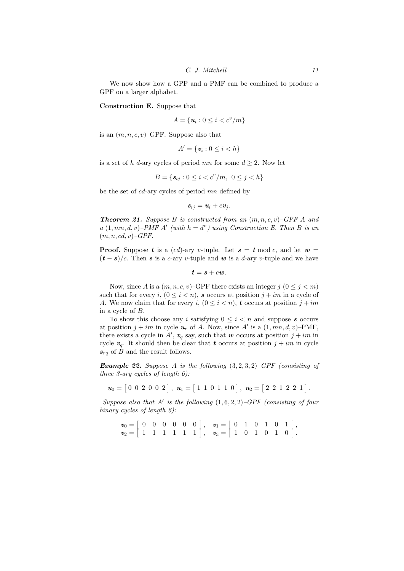We now show how a GPF and a PMF can be combined to produce a GPF on a larger alphabet.

**Construction E.** Suppose that

$$
A = \{ \boldsymbol{u}_i : 0 \leq i < c^v / m \}
$$

is an  $(m, n, c, v)$ –GPF. Suppose also that

$$
A' = \{ \mathbf{v}_i : 0 \leq i < h \}
$$

is a set of *h d*-ary cycles of period *mn* for some  $d \geq 2$ . Now let

$$
B = \{ s_{ij} : 0 \le i < c^v / m, \ 0 \le j < h \}
$$

be the set of *cd*-ary cycles of period *mn* defined by

$$
s_{ij} = u_i + cv_j.
$$

*Theorem 21. Suppose B is constructed from an* (*m, n, c, v*)*–GPF A and*  $a(1, mn, d, v)$ – $PMF A'$  (with  $h = d^v$ ) using Construction E. Then B is an (*m, n, cd, v*)*–GPF.*

**Proof.** Suppose *t* is a (*cd*)-ary *v*-tuple. Let  $s = t \mod c$ , and let  $w =$  $(\mathbf{t} - \mathbf{s})/c$ . Then *s* is a *c*-ary *v*-tuple and *w* is a *d*-ary *v*-tuple and we have

$$
t=s+cw.
$$

Now, since *A* is a  $(m, n, c, v)$ –GPF there exists an integer  $j$   $(0 \le j < m)$ such that for every *i*,  $(0 \le i \le n)$ , *s* occurs at position  $j + im$  in a cycle of *A*. We now claim that for every *i*,  $(0 \leq i < n)$ , *t* occurs at position  $j + im$ in a cycle of *B*.

To show this choose any *i* satisfying  $0 \leq i \leq n$  and suppose **s** occurs at position  $j + im$  in cycle  $u_r$  of A. Now, since A' is a  $(1, mn, d, v)$ -PMF, there exists a cycle in  $A'$ ,  $v_q$  say, such that *w* occurs at position  $j + im$  in cycle  $v_q$ . It should then be clear that *t* occurs at position  $j + im$  in cycle *srq* of *B* and the result follows.

*Example 22. Suppose A is the following* (3*,* 2*,* 3*,* 2)*–GPF (consisting of three 3-ary cycles of length 6):*

 $u_0 = [0 \ 0 \ 2 \ 0 \ 0 \ 2], u_1 = [1 \ 1 \ 0 \ 1 \ 1 \ 0], u_2 = [2 \ 2 \ 1 \ 2 \ 2 \ 1].$ 

*Suppose also that A′ is the following* (1*,* 6*,* 2*,* 2)*–GPF (consisting of four binary cycles of length 6):*

 $v_0 = [0 \ 0 \ 0 \ 0 \ 0 \ 0]$ ,  $v_1 = [0 \ 1 \ 0 \ 1 \ 0 \ 1]$ ,  $v_2 = \begin{bmatrix} 1 & 1 & 1 & 1 & 1 & 1 \end{bmatrix}$ ,  $v_3 = \begin{bmatrix} 1 & 0 & 1 & 0 & 1 & 0 \end{bmatrix}$ .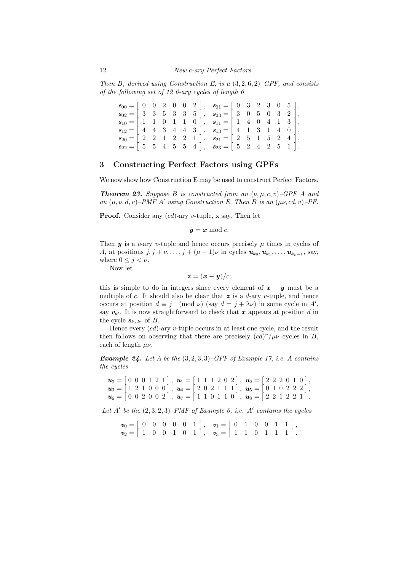*Then B, derived using Construction E, is a* (3*,* 2*,* 6*,* 2)*–GPF, and consists of the following set of 12 6-ary cycles of length 6*

 $s_{00} = \begin{bmatrix} 1 & 0 & 0 \\ 0 & 0 & 1 \end{bmatrix}$  $0 \t 0 \t 2 \t 0 \t 0 \t 2 \t 3$ ,  $s_{01} = \lceil$  $0 \quad 3 \quad 2 \quad 3 \quad 0 \quad 5 \quad ,$  $s_{02} = \begin{bmatrix} 3 & 3 & 5 & 3 & 3 & 5 \end{bmatrix}, \quad s_{03} = \begin{bmatrix} 3 & 0 & 5 & 0 & 3 & 2 \end{bmatrix},$  $s_{10} = [1 \ 1 \ 0 \ 1 \ 1 \ 0], \quad s_{11} = [1 \ 4 \ 0 \ 4 \ 1 \ 3],$  $s_{12} = [4 \ 4 \ 3 \ 4 \ 4 \ 3], \quad s_{13} = [4 \ 1 \ 3 \ 1 \ 4 \ 0],$  $s_{20} = \begin{bmatrix} 2 & 2 & 1 & 2 & 2 & 1 \end{bmatrix}, s_{21} = \begin{bmatrix} 2 & 5 & 1 & 5 & 2 & 4 \end{bmatrix},$  $s_{22} = \begin{bmatrix} 5 & 5 & 4 & 5 & 5 & 4 \end{bmatrix}, s_{23} = \begin{bmatrix} 5 & 2 & 4 & 2 & 5 & 1 \end{bmatrix}$ *.*

# **3 Constructing Perfect Factors using GPFs**

We now show how Construction E may be used to construct Perfect Factors.

*Theorem 23. Suppose B is constructed from an*  $(\nu, \mu, c, \nu)$ –*GPF A and an*  $(\mu, \nu, d, v)$ –*PMF A' using Construction E. Then B is an*  $(\mu\nu, cd, v)$ –*PF.* 

**Proof.** Consider any (*cd*)-ary *v*-tuple, x say. Then let

$$
y = x \bmod c.
$$

Then  $y$  is a *c*-ary *v*-tuple and hence occurs precisely  $\mu$  times in cycles of *A*, at positions  $j, j + \nu, \ldots, j + (\mu - 1)\nu$  in cycles  $\mathbf{u}_{k_0}, \mathbf{u}_{k_1}, \ldots, \mathbf{u}_{k_{\mu-1}},$  say, where  $0 \leq j < \nu$ .

Now let

$$
\boldsymbol{z} = (\boldsymbol{x} - \boldsymbol{y})/c;
$$

this is simple to do in integers since every element of  $x - y$  must be a multiple of *c*. It should also be clear that  $z$  is a *d*-ary *v*-tuple, and hence occurs at position  $d \equiv j \pmod{\nu}$  (say  $d = j + \lambda \nu$ ) in some cycle in A<sup>*'*</sup>, say  $v_{k'}$ . It is now straightforward to check that *x* appears at position *d* in the cycle  $s_{k_{\lambda}k'}$  of *B*.

Hence every (*cd*)-ary *v*-tuple occurs in at least one cycle, and the result then follows on observing that there are precisely  $(cd)^v/\mu\nu$  cycles in *B*, each of length *µν*.

*Example 24. Let A be the* (3*,* 2*,* 3*,* 3)*–GPF of Example 17, i.e. A contains the cycles*

$$
\mathbf{u}_0 = \begin{bmatrix} 0 & 0 & 0 & 1 & 2 & 1 \\ 1 & 2 & 1 & 0 & 0 & 0 \\ \mathbf{u}_3 = \begin{bmatrix} 1 & 2 & 1 & 0 & 0 & 0 \\ 0 & 0 & 2 & 0 & 0 & 2 \\ \end{bmatrix}, \ \mathbf{u}_4 = \begin{bmatrix} 1 & 1 & 1 & 2 & 0 & 2 \\ 2 & 0 & 2 & 1 & 1 & 1 \\ 1 & 1 & 0 & 1 & 1 & 0 \\ \end{bmatrix}, \ \mathbf{u}_5 = \begin{bmatrix} 2 & 2 & 2 & 0 & 1 & 0 \\ 0 & 1 & 0 & 2 & 2 & 2 \\ 2 & 2 & 1 & 2 & 2 & 1 \\ \end{bmatrix},
$$

Let  $A'$  be the  $(2,3,2,3)$ –PMF of Example 6, i.e.  $A'$  contains the cycles

$$
\begin{array}{cccc} \boldsymbol{v}_0 = \left[ \begin{array}{cccc} 0 & 0 & 0 & 0 & 0 & 1 \\ 1 & 0 & 0 & 1 & 0 & 1 \end{array} \right], & \boldsymbol{v}_1 = \left[ \begin{array}{cccc} 0 & 1 & 0 & 0 & 1 & 1 \\ 1 & 1 & 0 & 1 & 1 & 1 \end{array} \right], \\ \end{array}
$$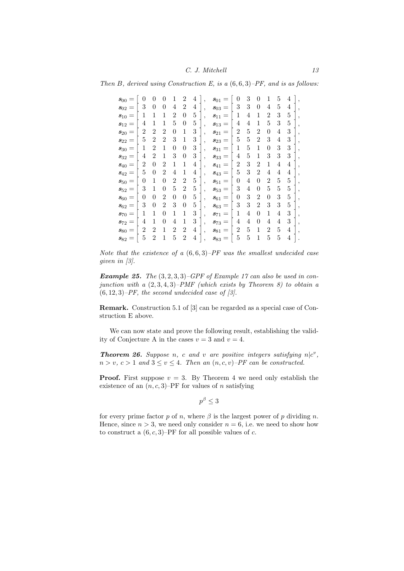*Then B, derived using Construction E, is a* (6*,* 6*,* 3)*–PF, and is as follows:*

| $\pmb{s}_{00}$               | 0              | 0              | 0              | 1              | $\overline{2}$   | 4              | , | $s_{01}$                     | $\overline{0}$ | 3 | $\overline{0}$ | 1              | 5              | 4 |   |
|------------------------------|----------------|----------------|----------------|----------------|------------------|----------------|---|------------------------------|----------------|---|----------------|----------------|----------------|---|---|
| $s_{02}$<br>$=$              | 3              | 0              | $\overline{0}$ | 4              | $\overline{2}$   | 4              | , | $s_{03}$<br>$=$              | 3              | 3 | $\overline{0}$ | 4              | 5              | 4 | , |
| $\boldsymbol{s}_{10}$<br>$=$ | 1              | 1              | 1              | $\overline{2}$ | $\overline{0}$   | 5              | , | $\boldsymbol{s}_{11}$<br>$=$ | 1              | 4 | 1              | $\overline{2}$ | 3              | 5 | , |
| $\boldsymbol{s}_{12}$        | 4              | 1              | 1              | 5              | $\overline{0}$   | 5              | , | $\boldsymbol{s}_{13}$<br>$=$ | 4              | 4 | 1              | 5              | 3              | 5 | , |
| $\pmb{s}_{20}$<br>$=$        | $\overline{2}$ | $\overline{2}$ | $\overline{2}$ | $\overline{0}$ | 1                | 3              | , | $\boldsymbol{s}_{21}$<br>$=$ | $\overline{2}$ | 5 | $\overline{2}$ | $\overline{0}$ | 4              | 3 | , |
| $s_{22} =$                   | 5              | $\overline{2}$ | $\overline{2}$ | 3              | 1                | 3              | , | $\boldsymbol{s}_{23}$<br>$=$ | 5              | 5 | $\overline{2}$ | 3              | 4              | 3 | , |
| $\pmb{s}_{30}$<br>$=$        | 1              | $\overline{2}$ | 1              | 0              | $\overline{0}$   | 3              | , | $\boldsymbol{s}_{31}$<br>$=$ | 1              | 5 | 1              | $\overline{0}$ | 3              | 3 | , |
| $\boldsymbol{s}_{32}$<br>$=$ | 4              | $\overline{2}$ | $\mathbf{1}$   | 3              | $\overline{0}$   | 3              | , | $\pmb{s}_{33}$<br>$=$        | 4              | 5 | 1              | 3              | 3              | 3 |   |
| $\pmb{s}_{40}$<br>$=$        | $\overline{2}$ | $\overline{0}$ | $\overline{2}$ | 1              | 1                | $\overline{4}$ | , | $\boldsymbol{s}_{41}$<br>$=$ | $\overline{2}$ | 3 | $\overline{2}$ | 1              | $\overline{4}$ | 4 |   |
| $\boldsymbol{s}_{42}$<br>$=$ | 5              | 0              | $\overline{2}$ | 4              | 1                | $\overline{4}$ | , | $s_{43} =$                   | 5              | 3 | $\overline{2}$ | 4              | 4              | 4 |   |
| $\pmb{s}_{50}$               | 0              | 1              | $\overline{0}$ | $\overline{2}$ | $\overline{2}$   | 5              | , | $\boldsymbol{s}_{51}$<br>$=$ | $\overline{0}$ | 4 | $\overline{0}$ | $\overline{2}$ | 5              | 5 | , |
| $s_{52}=$                    | 3              | 1              | $\overline{0}$ | 5              | $\overline{2}$   | 5              | , | $s_{53}=$                    | 3              | 4 | $\overline{0}$ | 5              | 5              | 5 |   |
| $\pmb{s}_{60}$<br>$=$        | 0              | $\overline{0}$ | $\overline{2}$ | $\overline{0}$ | $\boldsymbol{0}$ | 5              | , | $\boldsymbol{s}_{61}$<br>$=$ | 0              | 3 | $\overline{2}$ | $\overline{0}$ | 3              | 5 | , |
| $\boldsymbol{s}_{62}$<br>$=$ | 3              | $\overline{0}$ | $\overline{2}$ | 3              | $\overline{0}$   | 5              | , | $s_{63}$<br>$=$              | 3              | 3 | $\overline{2}$ | 3              | 3              | 5 | , |
| $\boldsymbol{s}_{70}$<br>$=$ | 1              | 1              | $\overline{0}$ | 1              | 1                | 3              | , | $\boldsymbol{s}_{71}$<br>$=$ | 1              | 4 | $\overline{0}$ | 1              | 4              | 3 | , |
| $\boldsymbol{s}_{72}$<br>$=$ | 4              | 1              | $\overline{0}$ | 4              | 1                | 3              | , | $s_{73}$<br>$=$              | 4              | 4 | $\overline{0}$ | 4              | 4              | 3 | , |
| $\pmb{s}_{80}$<br>$=$        | $\overline{2}$ | $\overline{2}$ | 1              | $\overline{2}$ | $\overline{2}$   | $\overline{4}$ | , | $\boldsymbol{s}_{81}$<br>$=$ | $\overline{2}$ | 5 | 1              | $\overline{2}$ | 5              | 4 |   |
| $\boldsymbol{s}_{82}$        | 5              | $\overline{2}$ | 1              | 5              | $\overline{2}$   | 4              |   | $\pmb{s}_{83}$<br>$=$        | 5              | 5 | $\mathbf 1$    | 5              | 5              | 4 |   |

*Note that the existence of a* (6*,* 6*,* 3)*–PF was the smallest undecided case given in [3].*

*Example 25. The* (3*,* 2*,* 3*,* 3)*–GPF of Example 17 can also be used in conjunction with a* (2*,* 3*,* 4*,* 3)*–PMF (which exists by Theorem 8) to obtain a* (6*,* 12*,* 3)*–PF, the second undecided case of [3].*

**Remark.** Construction 5.1 of [3] can be regarded as a special case of Construction E above.

We can now state and prove the following result, establishing the validity of Conjecture A in the cases  $v = 3$  and  $v = 4$ .

*Theorem 26. Suppose n, c and v are positive integers satisfying*  $n|c^v$ ,  $n > v, c > 1$  *and*  $3 \le v \le 4$ *. Then an*  $(n, c, v)$ *–PF can be constructed.* 

**Proof.** First suppose  $v = 3$ . By Theorem 4 we need only establish the existence of an  $(n, c, 3)$ –PF for values of *n* satisfying

 $p^{\beta} \leq 3$ 

for every prime factor  $p$  of  $n$ , where  $\beta$  is the largest power of  $p$  dividing  $n$ . Hence, since  $n > 3$ , we need only consider  $n = 6$ , i.e. we need to show how to construct a  $(6, c, 3)$ –PF for all possible values of *c*.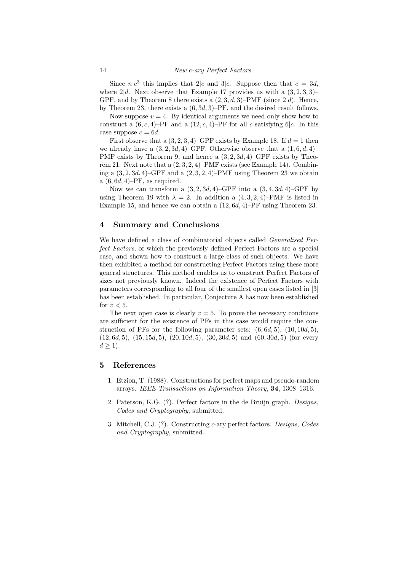Since  $n|c^3$  this implies that  $2|c$  and  $3|c$ . Suppose then that  $c = 3d$ , where  $2|d$ . Next observe that Example 17 provides us with a  $(3, 2, 3, 3)$ – GPF, and by Theorem 8 there exists a  $(2, 3, d, 3)$ –PMF (since  $2|d$ ). Hence, by Theorem 23, there exists a (6*,* 3*d,* 3)–PF, and the desired result follows.

Now suppose  $v = 4$ . By identical arguments we need only show how to construct a  $(6, c, 4)$ –PF and a  $(12, c, 4)$ –PF for all *c* satisfying 6 $|c$ . In this case suppose  $c = 6d$ .

First observe that a  $(3, 2, 3, 4)$ –GPF exists by Example 18. If  $d = 1$  then we already have a  $(3, 2, 3d, 4)$ –GPF. Otherwise observe that a  $(1, 6, d, 4)$ – PMF exists by Theorem 9, and hence a (3*,* 2*,* 3*d,* 4)–GPF exists by Theorem 21. Next note that a (2*,* 3*,* 2*,* 4)–PMF exists (see Example 14). Combining a  $(3, 2, 3d, 4)$ –GPF and a  $(2, 3, 2, 4)$ –PMF using Theorem 23 we obtain a (6*,* 6*d,* 4)–PF, as required.

Now we can transform a  $(3, 2, 3d, 4)$ –GPF into a  $(3, 4, 3d, 4)$ –GPF by using Theorem 19 with  $\lambda = 2$ . In addition a  $(4, 3, 2, 4)$ –PMF is listed in Example 15, and hence we can obtain a (12*,* 6*d,* 4)–PF using Theorem 23.

# **4 Summary and Conclusions**

We have defined a class of combinatorial objects called *Generalised Perfect Factors*, of which the previously defined Perfect Factors are a special case, and shown how to construct a large class of such objects. We have then exhibited a method for constructing Perfect Factors using these more general structures. This method enables us to construct Perfect Factors of sizes not previously known. Indeed the existence of Perfect Factors with parameters corresponding to all four of the smallest open cases listed in [3] has been established. In particular, Conjecture A has now been established for  $v < 5$ .

The next open case is clearly  $v = 5$ . To prove the necessary conditions are sufficient for the existence of PFs in this case would require the construction of PFs for the following parameter sets: (6*,* 6*d,* 5), (10*,* 10*d,* 5), (12*,* 6*d,* 5), (15*,* 15*d,* 5), (20*,* 10*d,* 5), (30*,* 30*d,* 5) and (60*,* 30*d,* 5) (for every  $d > 1$ ).

### **5 References**

- 1. Etzion, T. (1988). Constructions for perfect maps and pseudo-random arrays. *IEEE Transactions on Information Theory*, **34**, 1308–1316.
- 2. Paterson, K.G. (?). Perfect factors in the de Bruijn graph. *Designs, Codes and Cryptography*, submitted.
- 3. Mitchell, C.J. (?). Constructing *c*-ary perfect factors. *Designs, Codes and Cryptography*, submitted.